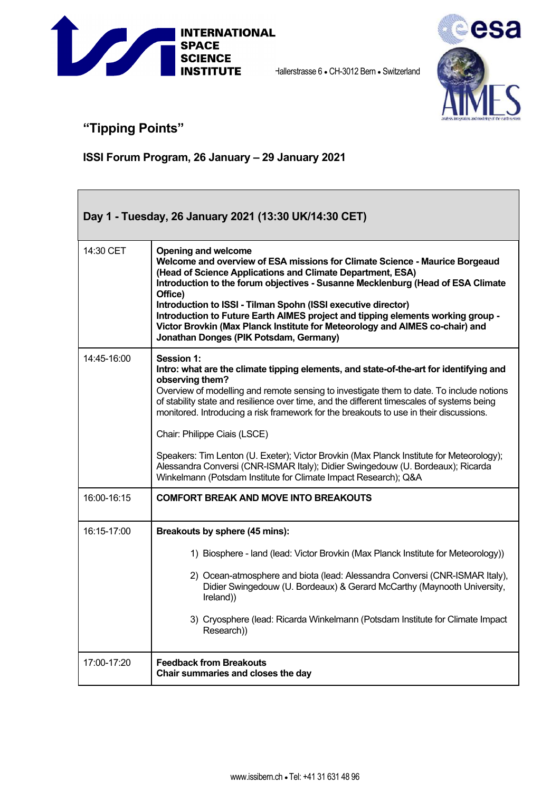



J.

## **"Tipping Points"**

 $\Box$ 

| Day 1 - Tuesday, 26 January 2021 (13:30 UK/14:30 CET) |                                                                                                                                                                                                                                                                                                                                                                                                                                                                                                                                                                                                                                                                                               |  |
|-------------------------------------------------------|-----------------------------------------------------------------------------------------------------------------------------------------------------------------------------------------------------------------------------------------------------------------------------------------------------------------------------------------------------------------------------------------------------------------------------------------------------------------------------------------------------------------------------------------------------------------------------------------------------------------------------------------------------------------------------------------------|--|
| 14:30 CET                                             | <b>Opening and welcome</b><br>Welcome and overview of ESA missions for Climate Science - Maurice Borgeaud<br>(Head of Science Applications and Climate Department, ESA)<br>Introduction to the forum objectives - Susanne Mecklenburg (Head of ESA Climate<br>Office)<br>Introduction to ISSI - Tilman Spohn (ISSI executive director)<br>Introduction to Future Earth AIMES project and tipping elements working group -<br>Victor Brovkin (Max Planck Institute for Meteorology and AIMES co-chair) and<br>Jonathan Donges (PIK Potsdam, Germany)                                                                                                                                           |  |
| 14:45-16:00                                           | Session 1:<br>Intro: what are the climate tipping elements, and state-of-the-art for identifying and<br>observing them?<br>Overview of modelling and remote sensing to investigate them to date. To include notions<br>of stability state and resilience over time, and the different timescales of systems being<br>monitored. Introducing a risk framework for the breakouts to use in their discussions.<br>Chair: Philippe Ciais (LSCE)<br>Speakers: Tim Lenton (U. Exeter); Victor Brovkin (Max Planck Institute for Meteorology);<br>Alessandra Conversi (CNR-ISMAR Italy); Didier Swingedouw (U. Bordeaux); Ricarda<br>Winkelmann (Potsdam Institute for Climate Impact Research); Q&A |  |
| 16:00-16:15                                           | <b>COMFORT BREAK AND MOVE INTO BREAKOUTS</b>                                                                                                                                                                                                                                                                                                                                                                                                                                                                                                                                                                                                                                                  |  |
| 16:15-17:00                                           | Breakouts by sphere (45 mins):<br>1) Biosphere - land (lead: Victor Brovkin (Max Planck Institute for Meteorology))<br>2) Ocean-atmosphere and biota (lead: Alessandra Conversi (CNR-ISMAR Italy),<br>Didier Swingedouw (U. Bordeaux) & Gerard McCarthy (Maynooth University,<br>Ireland))<br>3) Cryosphere (lead: Ricarda Winkelmann (Potsdam Institute for Climate Impact<br>Research))                                                                                                                                                                                                                                                                                                     |  |
| 17:00-17:20                                           | <b>Feedback from Breakouts</b><br>Chair summaries and closes the day                                                                                                                                                                                                                                                                                                                                                                                                                                                                                                                                                                                                                          |  |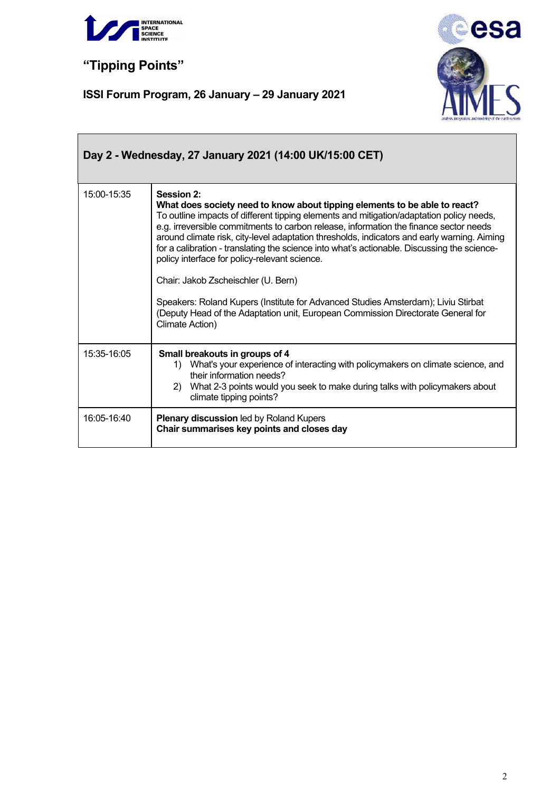

**"Tipping Points"**

esa

| Day 2 - Wednesday, 27 January 2021 (14:00 UK/15:00 CET) |                                                                                                                                                                                                                                                                                                                                                                                                                                                                                                                              |  |
|---------------------------------------------------------|------------------------------------------------------------------------------------------------------------------------------------------------------------------------------------------------------------------------------------------------------------------------------------------------------------------------------------------------------------------------------------------------------------------------------------------------------------------------------------------------------------------------------|--|
| 15:00-15:35                                             | Session 2:<br>What does society need to know about tipping elements to be able to react?<br>To outline impacts of different tipping elements and mitigation/adaptation policy needs,<br>e.g. irreversible commitments to carbon release, information the finance sector needs<br>around climate risk, city-level adaptation thresholds, indicators and early warning. Aiming<br>for a calibration - translating the science into what's actionable. Discussing the science-<br>policy interface for policy-relevant science. |  |
|                                                         | Chair: Jakob Zscheischler (U. Bern)                                                                                                                                                                                                                                                                                                                                                                                                                                                                                          |  |
|                                                         | Speakers: Roland Kupers (Institute for Advanced Studies Amsterdam); Liviu Stirbat<br>(Deputy Head of the Adaptation unit, European Commission Directorate General for<br>Climate Action)                                                                                                                                                                                                                                                                                                                                     |  |
| 15:35-16:05                                             | Small breakouts in groups of 4<br>1) What's your experience of interacting with policymakers on climate science, and<br>their information needs?<br>What 2-3 points would you seek to make during talks with policymakers about<br>2)<br>climate tipping points?                                                                                                                                                                                                                                                             |  |
| 16:05-16:40                                             | Plenary discussion led by Roland Kupers<br>Chair summarises key points and closes day                                                                                                                                                                                                                                                                                                                                                                                                                                        |  |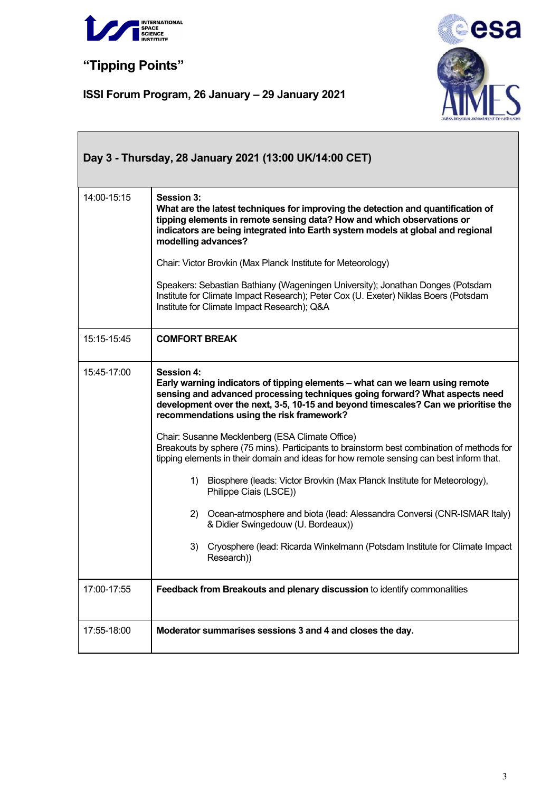

**"Tipping Points"**



| Day 3 - Thursday, 28 January 2021 (13:00 UK/14:00 CET) |                                                                                                                                                                                                                                                                                                                      |  |
|--------------------------------------------------------|----------------------------------------------------------------------------------------------------------------------------------------------------------------------------------------------------------------------------------------------------------------------------------------------------------------------|--|
| 14:00-15:15                                            | <b>Session 3:</b><br>What are the latest techniques for improving the detection and quantification of<br>tipping elements in remote sensing data? How and which observations or<br>indicators are being integrated into Earth system models at global and regional<br>modelling advances?                            |  |
|                                                        | Chair: Victor Brovkin (Max Planck Institute for Meteorology)                                                                                                                                                                                                                                                         |  |
|                                                        | Speakers: Sebastian Bathiany (Wageningen University); Jonathan Donges (Potsdam<br>Institute for Climate Impact Research); Peter Cox (U. Exeter) Niklas Boers (Potsdam<br>Institute for Climate Impact Research); Q&A                                                                                                 |  |
| 15:15-15:45                                            | <b>COMFORT BREAK</b>                                                                                                                                                                                                                                                                                                 |  |
| 15:45-17:00                                            | <b>Session 4:</b><br>Early warning indicators of tipping elements - what can we learn using remote<br>sensing and advanced processing techniques going forward? What aspects need<br>development over the next, 3-5, 10-15 and beyond timescales? Can we prioritise the<br>recommendations using the risk framework? |  |
|                                                        | Chair: Susanne Mecklenberg (ESA Climate Office)<br>Breakouts by sphere (75 mins). Participants to brainstorm best combination of methods for<br>tipping elements in their domain and ideas for how remote sensing can best inform that.                                                                              |  |
|                                                        | Biosphere (leads: Victor Brovkin (Max Planck Institute for Meteorology),<br>1)<br>Philippe Ciais (LSCE))                                                                                                                                                                                                             |  |
|                                                        | 2)<br>Ocean-atmosphere and biota (lead: Alessandra Conversi (CNR-ISMAR Italy)<br>& Didier Swingedouw (U. Bordeaux))                                                                                                                                                                                                  |  |
|                                                        | Cryosphere (lead: Ricarda Winkelmann (Potsdam Institute for Climate Impact<br>3)<br>Research))                                                                                                                                                                                                                       |  |
| 17:00-17:55                                            | Feedback from Breakouts and plenary discussion to identify commonalities                                                                                                                                                                                                                                             |  |
| 17:55-18:00                                            | Moderator summarises sessions 3 and 4 and closes the day.                                                                                                                                                                                                                                                            |  |